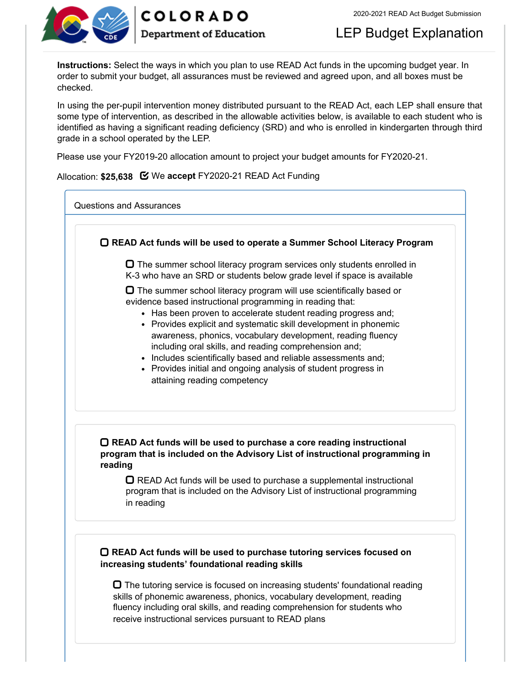



## LEP Budget Explanation

**Instructions:** Select the ways in which you plan to use READ Act funds in the upcoming budget year. In order to submit your budget, all assurances must be reviewed and agreed upon, and all boxes must be checked.

In using the per-pupil intervention money distributed pursuant to the READ Act, each LEP shall ensure that some type of intervention, as described in the allowable activities below, is available to each student who is identified as having a significant reading deficiency (SRD) and who is enrolled in kindergarten through third grade in a school operated by the LEP.

Please use your FY2019-20 allocation amount to project your budget amounts for FY2020-21.

Allocation: **\$25,638** We **accept** FY2020-21 READ Act Funding

Questions and Assurances

 **READ Act funds will be used to operate a Summer School Literacy Program**  $\Box$  The summer school literacy program services only students enrolled in K-3 who have an SRD or students below grade level if space is available  $\Box$  The summer school literacy program will use scientifically based or evidence based instructional programming in reading that: • Has been proven to accelerate student reading progress and; • Provides explicit and systematic skill development in phonemic awareness, phonics, vocabulary development, reading fluency including oral skills, and reading comprehension and; • Includes scientifically based and reliable assessments and; • Provides initial and ongoing analysis of student progress in attaining reading competency **READ Act funds will be used to purchase a core reading instructional program that is included on the Advisory List of instructional programming in reading**  $\Box$  READ Act funds will be used to purchase a supplemental instructional program that is included on the Advisory List of instructional programming in reading **READ Act funds will be used to purchase tutoring services focused on increasing students' foundational reading skills**

 $\Box$  The tutoring service is focused on increasing students' foundational reading skills of phonemic awareness, phonics, vocabulary development, reading fluency including oral skills, and reading comprehension for students who receive instructional services pursuant to READ plans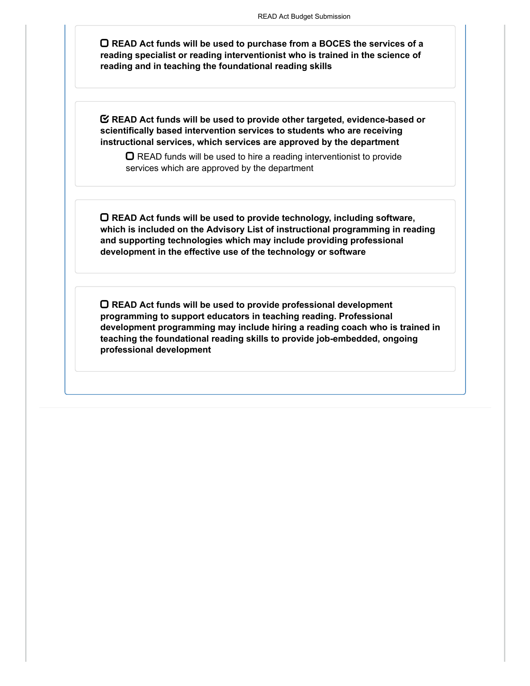**READ Act funds will be used to purchase from a BOCES the services of a reading specialist or reading interventionist who is trained in the science of reading and in teaching the foundational reading skills**

**READ Act funds will be used to provide other targeted, evidence-based or scientifically based intervention services to students who are receiving instructional services, which services are approved by the department**

 $\Box$  READ funds will be used to hire a reading interventionist to provide services which are approved by the department

**READ Act funds will be used to provide technology, including software, which is included on the Advisory List of instructional programming in reading and supporting technologies which may include providing professional development in the effective use of the technology or software**

**READ Act funds will be used to provide professional development programming to support educators in teaching reading. Professional development programming may include hiring a reading coach who is trained in teaching the foundational reading skills to provide job-embedded, ongoing professional development**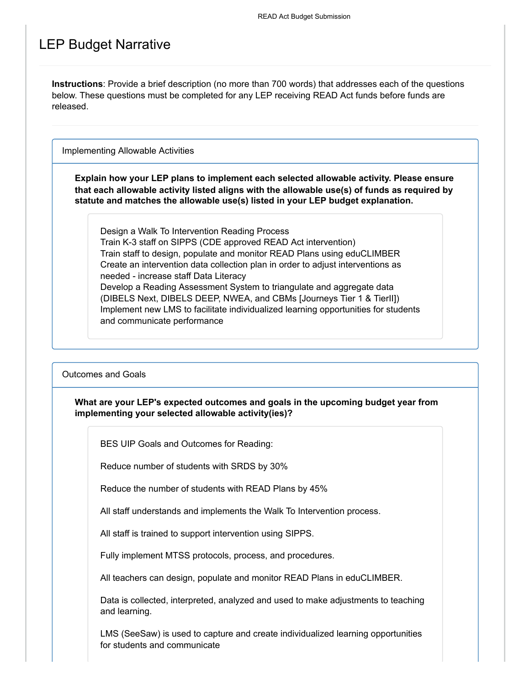### LEP Budget Narrative

**Instructions**: Provide a brief description (no more than 700 words) that addresses each of the questions below. These questions must be completed for any LEP receiving READ Act funds before funds are released.

Implementing Allowable Activities

**Explain how your LEP plans to implement each selected allowable activity. Please ensure that each allowable activity listed aligns with the allowable use(s) of funds as required by statute and matches the allowable use(s) listed in your LEP budget explanation.**

Design a Walk To Intervention Reading Process Train K-3 staff on SIPPS (CDE approved READ Act intervention) Train staff to design, populate and monitor READ Plans using eduCLIMBER Create an intervention data collection plan in order to adjust interventions as needed - increase staff Data Literacy Develop a Reading Assessment System to triangulate and aggregate data (DIBELS Next, DIBELS DEEP, NWEA, and CBMs [Journeys Tier 1 & TierII]) Implement new LMS to facilitate individualized learning opportunities for students and communicate performance

Outcomes and Goals

**What are your LEP's expected outcomes and goals in the upcoming budget year from implementing your selected allowable activity(ies)?**

BES UIP Goals and Outcomes for Reading:

Reduce number of students with SRDS by 30%

Reduce the number of students with READ Plans by 45%

All staff understands and implements the Walk To Intervention process.

All staff is trained to support intervention using SIPPS.

Fully implement MTSS protocols, process, and procedures.

All teachers can design, populate and monitor READ Plans in eduCLIMBER.

Data is collected, interpreted, analyzed and used to make adjustments to teaching and learning.

LMS (SeeSaw) is used to capture and create individualized learning opportunities for students and communicate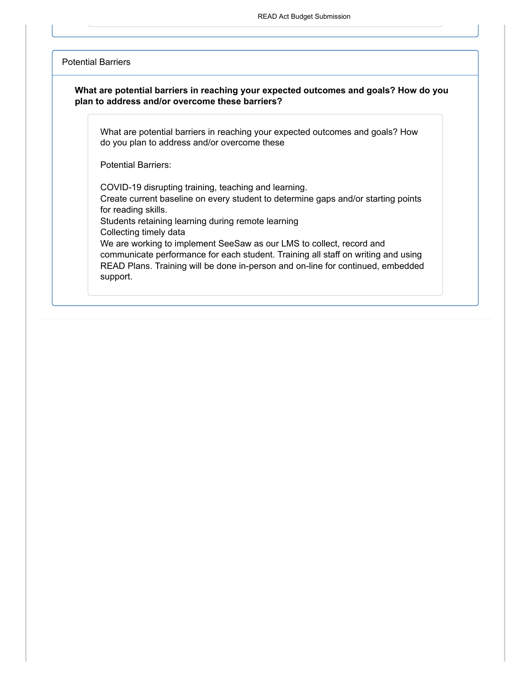#### Potential Barriers

#### **What are potential barriers in reaching your expected outcomes and goals? How do you plan to address and/or overcome these barriers?**

What are potential barriers in reaching your expected outcomes and goals? How do you plan to address and/or overcome these

Potential Barriers:

COVID-19 disrupting training, teaching and learning.

Create current baseline on every student to determine gaps and/or starting points for reading skills.

Students retaining learning during remote learning

Collecting timely data

We are working to implement SeeSaw as our LMS to collect, record and communicate performance for each student. Training all staff on writing and using READ Plans. Training will be done in-person and on-line for continued, embedded support.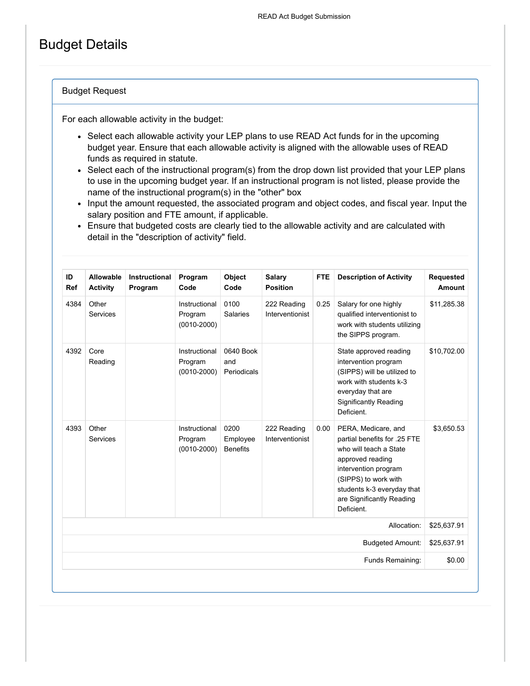## Budget Details

#### Budget Request

For each allowable activity in the budget:

- Select each allowable activity your LEP plans to use READ Act funds for in the upcoming budget year. Ensure that each allowable activity is aligned with the allowable uses of READ funds as required in statute.
- Select each of the instructional program(s) from the drop down list provided that your LEP plans to use in the upcoming budget year. If an instructional program is not listed, please provide the name of the instructional program(s) in the "other" box
- Input the amount requested, the associated program and object codes, and fiscal year. Input the salary position and FTE amount, if applicable.
- Ensure that budgeted costs are clearly tied to the allowable activity and are calculated with detail in the "description of activity" field.

| ID<br>Ref                              | Allowable<br><b>Activity</b> | Instructional<br>Program | Program<br>Code                             | <b>Object</b><br>Code               | <b>Salary</b><br><b>Position</b> | <b>FTE</b> | <b>Description of Activity</b>                                                                                                                                                                                             | <b>Requested</b><br>Amount |
|----------------------------------------|------------------------------|--------------------------|---------------------------------------------|-------------------------------------|----------------------------------|------------|----------------------------------------------------------------------------------------------------------------------------------------------------------------------------------------------------------------------------|----------------------------|
| 4384                                   | Other<br>Services            |                          | Instructional<br>Program<br>$(0010 - 2000)$ | 0100<br><b>Salaries</b>             | 222 Reading<br>Interventionist   | 0.25       | Salary for one highly<br>qualified interventionist to<br>work with students utilizing<br>the SIPPS program.                                                                                                                | \$11,285.38                |
| 4392                                   | Core<br>Reading              |                          | Instructional<br>Program<br>$(0010 - 2000)$ | 0640 Book<br>and<br>Periodicals     |                                  |            | State approved reading<br>intervention program<br>(SIPPS) will be utilized to<br>work with students k-3<br>everyday that are<br><b>Significantly Reading</b><br>Deficient.                                                 | \$10.702.00                |
| 4393                                   | Other<br><b>Services</b>     |                          | Instructional<br>Program<br>$(0010 - 2000)$ | 0200<br>Employee<br><b>Benefits</b> | 222 Reading<br>Interventionist   | 0.00       | PERA, Medicare, and<br>partial benefits for .25 FTE<br>who will teach a State<br>approved reading<br>intervention program<br>(SIPPS) to work with<br>students k-3 everyday that<br>are Significantly Reading<br>Deficient. | \$3,650.53                 |
| Allocation:<br><b>Budgeted Amount:</b> |                              |                          |                                             |                                     |                                  |            |                                                                                                                                                                                                                            |                            |
|                                        |                              |                          |                                             |                                     |                                  |            |                                                                                                                                                                                                                            |                            |